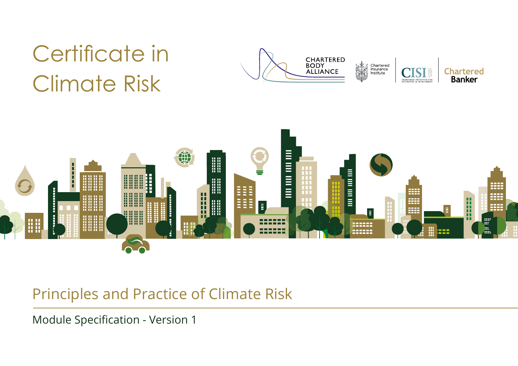# Certificate in Climate Risk





# Principles and Practice of Climate Risk

Lorem ipsum dolor sit amet, consectetur adipiscing elit. Sed bibendum, leo in pharetra vulputate, metus nisi commodo lorem, eget lacinia odio eros venenatis massa. Etiam semper commodo leo non interdum. Module Specification - Version 1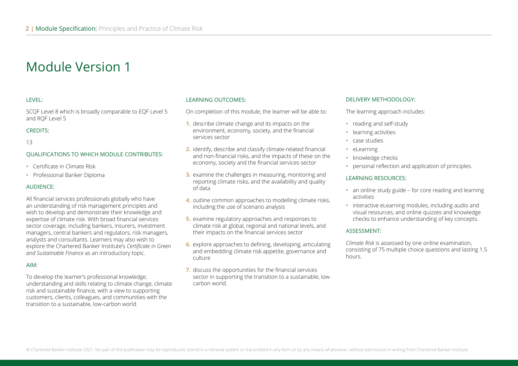#### LEVEL:

SCQF Level 8 which is broadly comparable to EQF Level 5 and RQF Level 5

#### CREDITS:

13

#### QUALIFICATIONS TO WHICH MODULE CONTRIBUTES:

- **•** Certificate in Climate Risk
- **•** Professional Banker Diploma

#### AUDIENCE:

All financial services professionals globally who have an understanding of risk management principles and wish to develop and demonstrate their knowledge and expertise of climate risk. With broad financial services sector coverage, including bankers, insurers, investment managers, central bankers and regulators, risk managers, analysts and consultants. Learners may also wish to explore the Chartered Banker Institute's *Certificate in Green and Sustainable Finance* as an introductory topic.

#### AIM:

To develop the learner's professional knowledge, understanding and skills relating to climate change, climate risk and sustainable finance, with a view to supporting customers, clients, colleagues, and communities with the transition to a sustainable, low-carbon world.

#### LEARNING OUTCOMES:

On completion of this module, the learner will be able to:

- **1.** describe climate change and its impacts on the environment, economy, society, and the financial services sector
- **2.** identify, describe and classify climate-related financial and non-financial risks, and the impacts of these on the economy, society and the financial services sector
- **3.** examine the challenges in measuring, monitoring and reporting climate risks, and the availability and quality of data
- **4.** outline common approaches to modelling climate risks, including the use of scenario analysis
- **5.** examine regulatory approaches and responses to climate risk at global, regional and national levels, and their impacts on the financial services sector
- **6.** explore approaches to defining, developing, articulating and embedding climate risk appetite, governance and culture
- **7.** discuss the opportunities for the financial services sector in supporting the transition to a sustainable, lowcarbon world.

#### DELIVERY METHODOLOGY:

The learning approach includes:

- **•** reading and self-study
- **•** learning activities
- **•** case studies
- **•** eLearning
- **•** knowledge checks
- **•** personal reflection and application of principles.

#### LEARNING RESOURCES:

- **•** an online study guide for core reading and learning activities
- **•** interactive eLearning modules, including audio and visual resources, and online quizzes and knowledge checks to enhance understanding of key concepts.

#### ASSESSMENT:

*Climate Risk* is assessed by one online examination, consisting of 75 multiple choice questions and lasting 1.5 hours.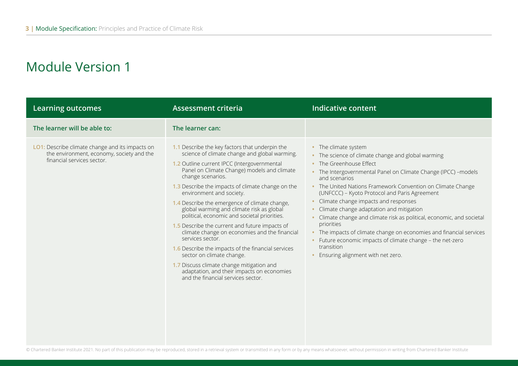| <b>Learning outcomes</b>                                                                                                          | <b>Assessment criteria</b>                                                                                                                                                                                                                                                                                                                                                                                                                                                                                                                                                                                                                                                                                                                                                                   | <b>Indicative content</b>                                                                                                                                                                                                                                                                                                                                                                                                                                                                                                                                                                                                                                                    |
|-----------------------------------------------------------------------------------------------------------------------------------|----------------------------------------------------------------------------------------------------------------------------------------------------------------------------------------------------------------------------------------------------------------------------------------------------------------------------------------------------------------------------------------------------------------------------------------------------------------------------------------------------------------------------------------------------------------------------------------------------------------------------------------------------------------------------------------------------------------------------------------------------------------------------------------------|------------------------------------------------------------------------------------------------------------------------------------------------------------------------------------------------------------------------------------------------------------------------------------------------------------------------------------------------------------------------------------------------------------------------------------------------------------------------------------------------------------------------------------------------------------------------------------------------------------------------------------------------------------------------------|
| The learner will be able to:                                                                                                      | The learner can:                                                                                                                                                                                                                                                                                                                                                                                                                                                                                                                                                                                                                                                                                                                                                                             |                                                                                                                                                                                                                                                                                                                                                                                                                                                                                                                                                                                                                                                                              |
| <b>LO1:</b> Describe climate change and its impacts on<br>the environment, economy, society and the<br>financial services sector. | 1.1 Describe the key factors that underpin the<br>science of climate change and global warming.<br>1.2 Outline current IPCC (Intergovernmental<br>Panel on Climate Change) models and climate<br>change scenarios.<br>1.3 Describe the impacts of climate change on the<br>environment and society.<br>1.4 Describe the emergence of climate change,<br>global warming and climate risk as global<br>political, economic and societal priorities.<br>1.5 Describe the current and future impacts of<br>climate change on economies and the financial<br>services sector.<br>1.6 Describe the impacts of the financial services<br>sector on climate change.<br>1.7 Discuss climate change mitigation and<br>adaptation, and their impacts on economies<br>and the financial services sector. | • The climate system<br>• The science of climate change and global warming<br>• The Greenhouse Effect<br>• The Intergovernmental Panel on Climate Change (IPCC) -models<br>and scenarios<br>• The United Nations Framework Convention on Climate Change<br>(UNFCCC) - Kyoto Protocol and Paris Agreement<br>• Climate change impacts and responses<br>Climate change adaptation and mitigation<br>Climate change and climate risk as political, economic, and societal<br>priorities<br>• The impacts of climate change on economies and financial services<br>• Future economic impacts of climate change - the net-zero<br>transition<br>Ensuring alignment with net zero. |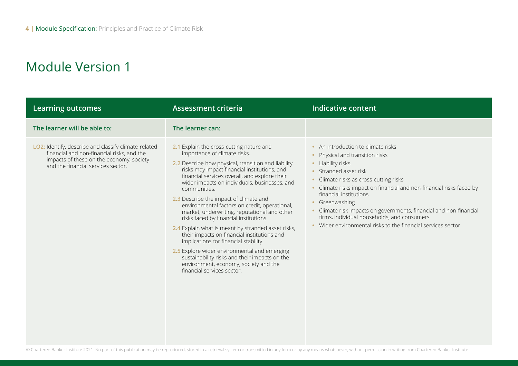| <b>Learning outcomes</b>                                                                                                                                                             | <b>Assessment criteria</b>                                                                                                                                                                                                                                                                                                                                                                                                                                                                                                                                                                                                                                                                                                                                                                                   | <b>Indicative content</b>                                                                                                                                                                                                                                                                                                                                                                                                                                         |
|--------------------------------------------------------------------------------------------------------------------------------------------------------------------------------------|--------------------------------------------------------------------------------------------------------------------------------------------------------------------------------------------------------------------------------------------------------------------------------------------------------------------------------------------------------------------------------------------------------------------------------------------------------------------------------------------------------------------------------------------------------------------------------------------------------------------------------------------------------------------------------------------------------------------------------------------------------------------------------------------------------------|-------------------------------------------------------------------------------------------------------------------------------------------------------------------------------------------------------------------------------------------------------------------------------------------------------------------------------------------------------------------------------------------------------------------------------------------------------------------|
| The learner will be able to:                                                                                                                                                         | The learner can:                                                                                                                                                                                                                                                                                                                                                                                                                                                                                                                                                                                                                                                                                                                                                                                             |                                                                                                                                                                                                                                                                                                                                                                                                                                                                   |
| LO2: Identify, describe and classify climate-related<br>financial and non-financial risks, and the<br>impacts of these on the economy, society<br>and the financial services sector. | 2.1 Explain the cross-cutting nature and<br>importance of climate risks.<br>2.2 Describe how physical, transition and liability<br>risks may impact financial institutions, and<br>financial services overall, and explore their<br>wider impacts on individuals, businesses, and<br>communities.<br>2.3 Describe the impact of climate and<br>environmental factors on credit, operational,<br>market, underwriting, reputational and other<br>risks faced by financial institutions.<br>2.4 Explain what is meant by stranded asset risks,<br>their impacts on financial institutions and<br>implications for financial stability.<br>2.5 Explore wider environmental and emerging<br>sustainability risks and their impacts on the<br>environment, economy, society and the<br>financial services sector. | • An introduction to climate risks<br>Physical and transition risks<br>• Liability risks<br>• Stranded asset risk<br>Climate risks as cross-cutting risks<br>• Climate risks impact on financial and non-financial risks faced by<br>financial institutions<br>Greenwashing<br>• Climate risk impacts on governments, financial and non-financial<br>firms, individual households, and consumers<br>• Wider environmental risks to the financial services sector. |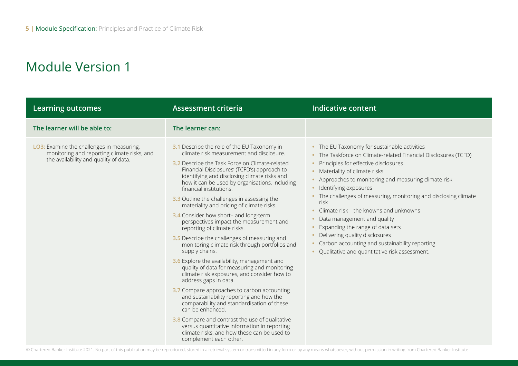| <b>Learning outcomes</b>                                                                                                          | <b>Assessment criteria</b>                                                                                                                                                                                                                                                                                                                                                                                                                                                                                                                                                                                                                                                                                                                                                                                                                                                                                                                                                                                                                                                                                                                                                | <b>Indicative content</b>                                                                                                                                                                                                                                                                                                                                                                                                                                                                                                                                                                                   |
|-----------------------------------------------------------------------------------------------------------------------------------|---------------------------------------------------------------------------------------------------------------------------------------------------------------------------------------------------------------------------------------------------------------------------------------------------------------------------------------------------------------------------------------------------------------------------------------------------------------------------------------------------------------------------------------------------------------------------------------------------------------------------------------------------------------------------------------------------------------------------------------------------------------------------------------------------------------------------------------------------------------------------------------------------------------------------------------------------------------------------------------------------------------------------------------------------------------------------------------------------------------------------------------------------------------------------|-------------------------------------------------------------------------------------------------------------------------------------------------------------------------------------------------------------------------------------------------------------------------------------------------------------------------------------------------------------------------------------------------------------------------------------------------------------------------------------------------------------------------------------------------------------------------------------------------------------|
| The learner will be able to:                                                                                                      | The learner can:                                                                                                                                                                                                                                                                                                                                                                                                                                                                                                                                                                                                                                                                                                                                                                                                                                                                                                                                                                                                                                                                                                                                                          |                                                                                                                                                                                                                                                                                                                                                                                                                                                                                                                                                                                                             |
| LO3: Examine the challenges in measuring,<br>monitoring and reporting climate risks, and<br>the availability and quality of data. | 3.1 Describe the role of the EU Taxonomy in<br>climate risk measurement and disclosure.<br>3.2 Describe the Task Force on Climate-related<br>Financial Disclosures' (TCFD's) approach to<br>identifying and disclosing climate risks and<br>how it can be used by organisations, including<br>financial institutions.<br>3.3 Outline the challenges in assessing the<br>materiality and pricing of climate risks.<br>3.4 Consider how short- and long-term<br>perspectives impact the measurement and<br>reporting of climate risks.<br>3.5 Describe the challenges of measuring and<br>monitoring climate risk through portfolios and<br>supply chains.<br>3.6 Explore the availability, management and<br>quality of data for measuring and monitoring<br>climate risk exposures, and consider how to<br>address gaps in data.<br>3.7 Compare approaches to carbon accounting<br>and sustainability reporting and how the<br>comparability and standardisation of these<br>can be enhanced.<br>3.8 Compare and contrast the use of qualitative<br>versus quantitative information in reporting<br>climate risks, and how these can be used to<br>complement each other. | • The EU Taxonomy for sustainable activities<br>• The Taskforce on Climate-related Financial Disclosures (TCFD)<br>Principles for effective disclosures<br>• Materiality of climate risks<br>Approaches to monitoring and measuring climate risk<br>· Identifying exposures<br>• The challenges of measuring, monitoring and disclosing climate<br>risk<br>• Climate risk – the knowns and unknowns<br>Data management and quality<br>Expanding the range of data sets<br>Delivering quality disclosures<br>Carbon accounting and sustainability reporting<br>Qualitative and quantitative risk assessment. |

© Chartered Banker Institute 2021. No part of this publication may be reproduced, stored in a retrieval system or transmitted in any form or by any means whatsoever, without permission in writing from Chartered Banker Inst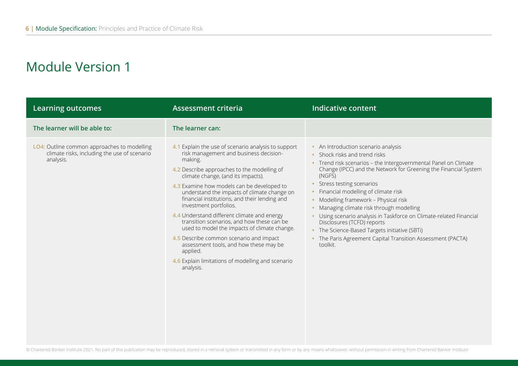| <b>Learning outcomes</b>                                                                                 | <b>Assessment criteria</b>                                                                                                                                                                                                                                                                                                                                                                                                                                                                                                                                                                                                                                                            | <b>Indicative content</b>                                                                                                                                                                                                                                                                                                                                                                                                                                                                                                                                                                                    |
|----------------------------------------------------------------------------------------------------------|---------------------------------------------------------------------------------------------------------------------------------------------------------------------------------------------------------------------------------------------------------------------------------------------------------------------------------------------------------------------------------------------------------------------------------------------------------------------------------------------------------------------------------------------------------------------------------------------------------------------------------------------------------------------------------------|--------------------------------------------------------------------------------------------------------------------------------------------------------------------------------------------------------------------------------------------------------------------------------------------------------------------------------------------------------------------------------------------------------------------------------------------------------------------------------------------------------------------------------------------------------------------------------------------------------------|
| The learner will be able to:                                                                             | The learner can:                                                                                                                                                                                                                                                                                                                                                                                                                                                                                                                                                                                                                                                                      |                                                                                                                                                                                                                                                                                                                                                                                                                                                                                                                                                                                                              |
| LO4: Outline common approaches to modelling<br>climate risks, including the use of scenario<br>analysis. | 4.1 Explain the use of scenario analysis to support<br>risk management and business decision-<br>making.<br>4.2 Describe approaches to the modelling of<br>climate change, (and its impacts).<br>4.3 Examine how models can be developed to<br>understand the impacts of climate change on<br>financial institutions, and their lending and<br>investment portfolios.<br>4.4 Understand different climate and energy<br>transition scenarios, and how these can be<br>used to model the impacts of climate change.<br>4.5 Describe common scenario and impact<br>assessment tools, and how these may be<br>applied.<br>4.6 Explain limitations of modelling and scenario<br>analysis. | • An Introduction scenario analysis<br>• Shock risks and trend risks<br>• Trend risk scenarios - the Intergovernmental Panel on Climate<br>Change (IPCC) and the Network for Greening the Financial System<br>(NGFS)<br>Stress testing scenarios<br>• Financial modelling of climate risk<br>• Modelling framework - Physical risk<br>Managing climate risk through modelling<br>Using scenario analysis in Taskforce on Climate-related Financial<br>Disclosures (TCFD) reports<br>• The Science-Based Targets initiative (SBTi)<br>• The Paris Agreement Capital Transition Assessment (PACTA)<br>toolkit. |

© Chartered Banker Institute 2021. No part of this publication may be reproduced, stored in a retrieval system or transmitted in any form or by any means whatsoever, without permission in writing from Chartered Banker Inst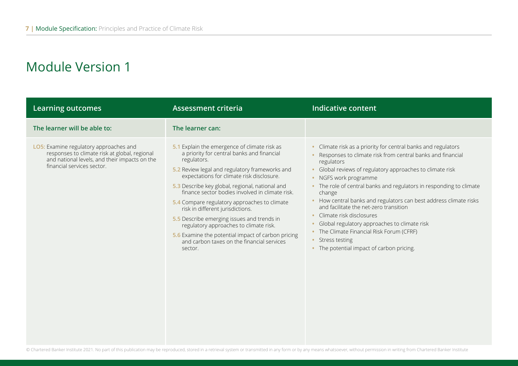| <b>Learning outcomes</b>                                                                                                                                               | <b>Assessment criteria</b>                                                                                                                                                                                                                                                                                                                                                                                                                                                                                                                                                                                | Indicative content                                                                                                                                                                                                                                                                                                                                                                                                                                                                                                                                                                                                               |
|------------------------------------------------------------------------------------------------------------------------------------------------------------------------|-----------------------------------------------------------------------------------------------------------------------------------------------------------------------------------------------------------------------------------------------------------------------------------------------------------------------------------------------------------------------------------------------------------------------------------------------------------------------------------------------------------------------------------------------------------------------------------------------------------|----------------------------------------------------------------------------------------------------------------------------------------------------------------------------------------------------------------------------------------------------------------------------------------------------------------------------------------------------------------------------------------------------------------------------------------------------------------------------------------------------------------------------------------------------------------------------------------------------------------------------------|
| The learner will be able to:                                                                                                                                           | The learner can:                                                                                                                                                                                                                                                                                                                                                                                                                                                                                                                                                                                          |                                                                                                                                                                                                                                                                                                                                                                                                                                                                                                                                                                                                                                  |
| LO5: Examine regulatory approaches and<br>responses to climate risk at global, regional<br>and national levels, and their impacts on the<br>financial services sector. | 5.1 Explain the emergence of climate risk as<br>a priority for central banks and financial<br>regulators.<br>5.2 Review legal and regulatory frameworks and<br>expectations for climate risk disclosure.<br>5.3 Describe key global, regional, national and<br>finance sector bodies involved in climate risk.<br>5.4 Compare regulatory approaches to climate<br>risk in different jurisdictions.<br>5.5 Describe emerging issues and trends in<br>regulatory approaches to climate risk.<br>5.6 Examine the potential impact of carbon pricing<br>and carbon taxes on the financial services<br>sector. | Climate risk as a priority for central banks and regulators<br>Responses to climate risk from central banks and financial<br>regulators<br>Global reviews of regulatory approaches to climate risk<br>• NGFS work programme<br>• The role of central banks and regulators in responding to climate<br>change<br>How central banks and regulators can best address climate risks<br>$\bullet$<br>and facilitate the net-zero transition<br>Climate risk disclosures<br>Global regulatory approaches to climate risk<br>• The Climate Financial Risk Forum (CFRF)<br>• Stress testing<br>• The potential impact of carbon pricing. |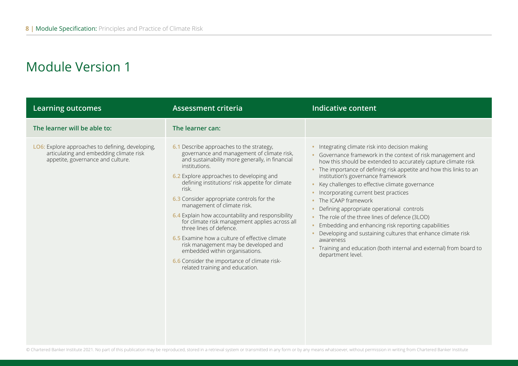| <b>Learning outcomes</b>                                                                                                         | <b>Assessment criteria</b>                                                                                                                                                                                                                                                                                                                                                                                                                                                                                                                                                                                                                                                                       | <b>Indicative content</b>                                                                                                                                                                                                                                                                                                                                                                                                                                                                                                                                                                                                                                                                                                                           |
|----------------------------------------------------------------------------------------------------------------------------------|--------------------------------------------------------------------------------------------------------------------------------------------------------------------------------------------------------------------------------------------------------------------------------------------------------------------------------------------------------------------------------------------------------------------------------------------------------------------------------------------------------------------------------------------------------------------------------------------------------------------------------------------------------------------------------------------------|-----------------------------------------------------------------------------------------------------------------------------------------------------------------------------------------------------------------------------------------------------------------------------------------------------------------------------------------------------------------------------------------------------------------------------------------------------------------------------------------------------------------------------------------------------------------------------------------------------------------------------------------------------------------------------------------------------------------------------------------------------|
| The learner will be able to:                                                                                                     | The learner can:                                                                                                                                                                                                                                                                                                                                                                                                                                                                                                                                                                                                                                                                                 |                                                                                                                                                                                                                                                                                                                                                                                                                                                                                                                                                                                                                                                                                                                                                     |
| LO6: Explore approaches to defining, developing,<br>articulating and embedding climate risk<br>appetite, governance and culture. | 6.1 Describe approaches to the strategy,<br>governance and management of climate risk,<br>and sustainability more generally, in financial<br>institutions.<br>6.2 Explore approaches to developing and<br>defining institutions' risk appetite for climate<br>risk.<br>6.3 Consider appropriate controls for the<br>management of climate risk.<br>6.4 Explain how accountability and responsibility<br>for climate risk management applies across all<br>three lines of defence.<br>6.5 Examine how a culture of effective climate<br>risk management may be developed and<br>embedded within organisations.<br>6.6 Consider the importance of climate risk-<br>related training and education. | • Integrating climate risk into decision making<br>• Governance framework in the context of risk management and<br>how this should be extended to accurately capture climate risk<br>• The importance of defining risk appetite and how this links to an<br>institution's governance framework<br>• Key challenges to effective climate governance<br>• Incorporating current best practices<br>• The ICAAP framework<br>Defining appropriate operational controls<br>• The role of the three lines of defence (3LOD)<br>Embedding and enhancing risk reporting capabilities<br>Developing and sustaining cultures that enhance climate risk<br>awareness<br>Training and education (both internal and external) from board to<br>department level. |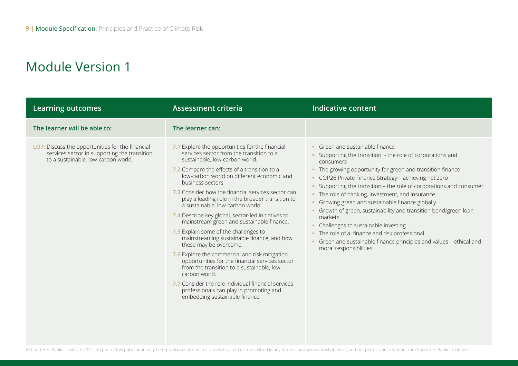| <b>Learning outcomes</b>                                                                                                                | <b>Assessment criteria</b>                                                                                                                                                                                                                                                                                                                                                                                                                                                                                                                                                                                                                                                                                                                                                                                                                                                                                                 | <b>Indicative content</b>                                                                                                                                                                                                                                                                                                                                                                                                                                                                                                                                                                                                                                                                      |
|-----------------------------------------------------------------------------------------------------------------------------------------|----------------------------------------------------------------------------------------------------------------------------------------------------------------------------------------------------------------------------------------------------------------------------------------------------------------------------------------------------------------------------------------------------------------------------------------------------------------------------------------------------------------------------------------------------------------------------------------------------------------------------------------------------------------------------------------------------------------------------------------------------------------------------------------------------------------------------------------------------------------------------------------------------------------------------|------------------------------------------------------------------------------------------------------------------------------------------------------------------------------------------------------------------------------------------------------------------------------------------------------------------------------------------------------------------------------------------------------------------------------------------------------------------------------------------------------------------------------------------------------------------------------------------------------------------------------------------------------------------------------------------------|
| The learner will be able to:                                                                                                            | The learner can:                                                                                                                                                                                                                                                                                                                                                                                                                                                                                                                                                                                                                                                                                                                                                                                                                                                                                                           |                                                                                                                                                                                                                                                                                                                                                                                                                                                                                                                                                                                                                                                                                                |
| LO7: Discuss the opportunities for the financial<br>services sector in supporting the transition<br>to a sustainable, low-carbon world. | 7.1 Explore the opportunities for the financial<br>services sector from the transition to a<br>sustainable, low-carbon world.<br>7.2 Compare the effects of a transition to a<br>low-carbon world on different economic and<br>business sectors.<br>7.3 Consider how the financial services sector can<br>play a leading role in the broader transition to<br>a sustainable, low-carbon world.<br>7.4 Describe key global, sector-led initiatives to<br>mainstream green and sustainable finance.<br>7.5 Explain some of the challenges to<br>mainstreaming sustainable finance, and how<br>these may be overcome.<br>7.6 Explore the commercial and risk mitigation<br>opportunities for the financial services sector<br>from the transition to a sustainable, low-<br>carbon world.<br>7.7 Consider the role individual financial services<br>professionals can play in promoting and<br>embedding sustainable finance. | • Green and sustainable finance<br>Supporting the transition - the role of corporations and<br>consumers<br>• The growing opportunity for green and transition finance<br>• COP26 Private Finance Strategy - achieving net zero<br>Supporting the transition - the role of corporations and consumer<br>• The role of banking, investment, and insurance<br>• Growing green and sustainable finance globally<br>Growth of green, sustainability and transition bond/green loan<br>markets<br>Challenges to sustainable investing<br>• The role of a finance and risk professional<br>Green and sustainable finance principles and values - ethical and<br>$\bullet$<br>moral responsibilities. |